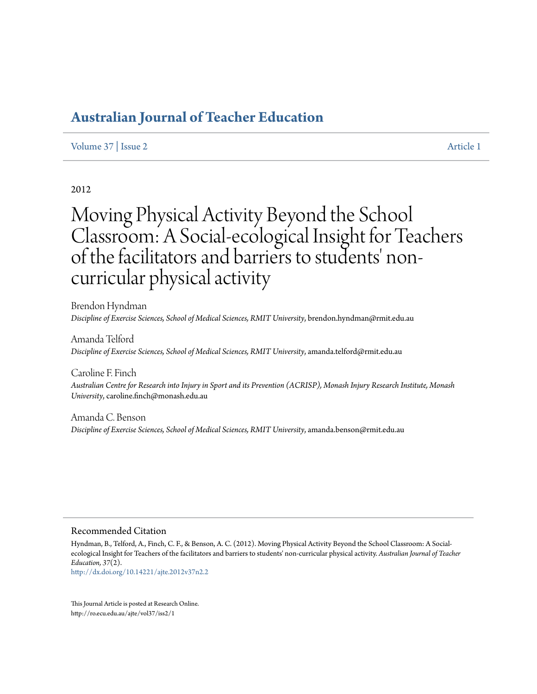# **[Australian Journal of Teacher Education](http://ro.ecu.edu.au/ajte)**

#### [Volume 37](http://ro.ecu.edu.au/ajte/vol37) | [Issue 2](http://ro.ecu.edu.au/ajte/vol37/iss2) [Article 1](http://ro.ecu.edu.au/ajte/vol37/iss2/1)

#### 2012

# Moving Physical Activity Beyond the School Classroom: A Social-ecological Insight for Teachers of the facilitators and barriers to students' noncurricular physical activity

Brendon Hyndman *Discipline of Exercise Sciences, School of Medical Sciences, RMIT University*, brendon.hyndman@rmit.edu.au

Amanda Telford *Discipline of Exercise Sciences, School of Medical Sciences, RMIT University*, amanda.telford@rmit.edu.au

Caroline F. Finch *Australian Centre for Research into Injury in Sport and its Prevention (ACRISP), Monash Injury Research Institute, Monash University*, caroline.finch@monash.edu.au

Amanda C. Benson *Discipline of Exercise Sciences, School of Medical Sciences, RMIT University*, amanda.benson@rmit.edu.au

#### Recommended Citation

Hyndman, B., Telford, A., Finch, C. F., & Benson, A. C. (2012). Moving Physical Activity Beyond the School Classroom: A Socialecological Insight for Teachers of the facilitators and barriers to students' non-curricular physical activity. *Australian Journal of Teacher Education, 37*(2).

<http://dx.doi.org/10.14221/ajte.2012v37n2.2>

This Journal Article is posted at Research Online. http://ro.ecu.edu.au/ajte/vol37/iss2/1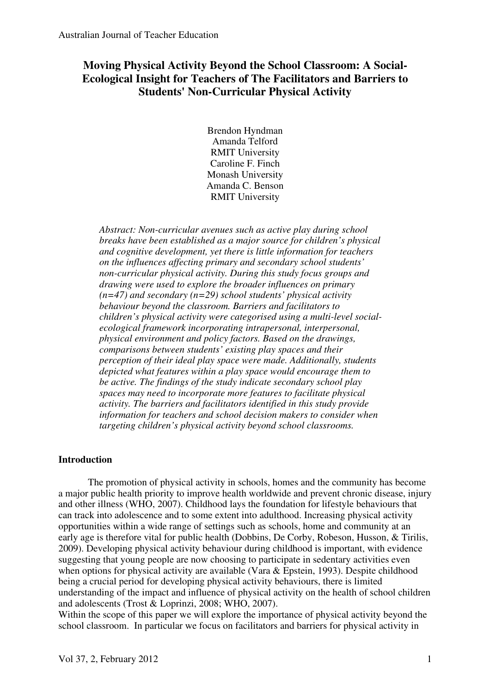## **Moving Physical Activity Beyond the School Classroom: A Social-Ecological Insight for Teachers of The Facilitators and Barriers to Students' Non-Curricular Physical Activity**

Brendon Hyndman Amanda Telford RMIT University Caroline F. Finch Monash University Amanda C. Benson RMIT University

*Abstract: Non-curricular avenues such as active play during school breaks have been established as a major source for children's physical and cognitive development, yet there is little information for teachers on the influences affecting primary and secondary school students' non-curricular physical activity. During this study focus groups and drawing were used to explore the broader influences on primary (n=47) and secondary (n=29) school students' physical activity behaviour beyond the classroom. Barriers and facilitators to children's physical activity were categorised using a multi-level socialecological framework incorporating intrapersonal, interpersonal, physical environment and policy factors. Based on the drawings, comparisons between students' existing play spaces and their perception of their ideal play space were made. Additionally, students depicted what features within a play space would encourage them to be active. The findings of the study indicate secondary school play spaces may need to incorporate more features to facilitate physical activity. The barriers and facilitators identified in this study provide information for teachers and school decision makers to consider when targeting children's physical activity beyond school classrooms.* 

## **Introduction**

The promotion of physical activity in schools, homes and the community has become a major public health priority to improve health worldwide and prevent chronic disease, injury and other illness (WHO, 2007). Childhood lays the foundation for lifestyle behaviours that can track into adolescence and to some extent into adulthood. Increasing physical activity opportunities within a wide range of settings such as schools, home and community at an early age is therefore vital for public health (Dobbins, De Corby, Robeson, Husson, & Tirilis, 2009). Developing physical activity behaviour during childhood is important, with evidence suggesting that young people are now choosing to participate in sedentary activities even when options for physical activity are available (Vara & Epstein, 1993). Despite childhood being a crucial period for developing physical activity behaviours, there is limited understanding of the impact and influence of physical activity on the health of school children and adolescents (Trost & Loprinzi, 2008; WHO, 2007).

Within the scope of this paper we will explore the importance of physical activity beyond the school classroom. In particular we focus on facilitators and barriers for physical activity in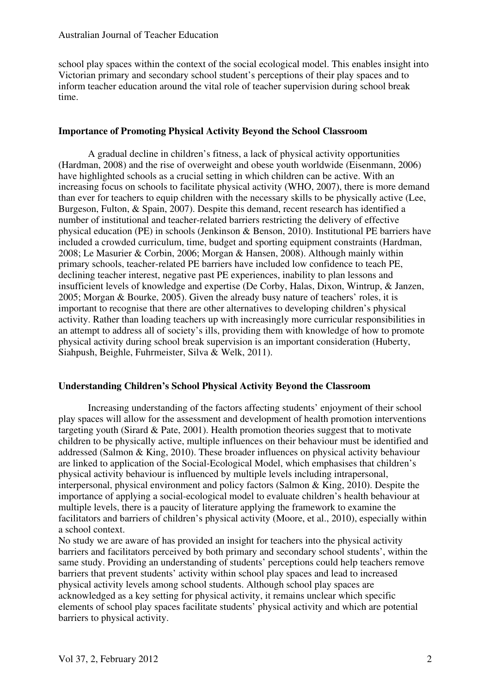school play spaces within the context of the social ecological model. This enables insight into Victorian primary and secondary school student's perceptions of their play spaces and to inform teacher education around the vital role of teacher supervision during school break time.

## **Importance of Promoting Physical Activity Beyond the School Classroom**

A gradual decline in children's fitness, a lack of physical activity opportunities (Hardman, 2008) and the rise of overweight and obese youth worldwide (Eisenmann, 2006) have highlighted schools as a crucial setting in which children can be active. With an increasing focus on schools to facilitate physical activity (WHO, 2007), there is more demand than ever for teachers to equip children with the necessary skills to be physically active (Lee, Burgeson, Fulton, & Spain, 2007). Despite this demand, recent research has identified a number of institutional and teacher-related barriers restricting the delivery of effective physical education (PE) in schools (Jenkinson & Benson, 2010). Institutional PE barriers have included a crowded curriculum, time, budget and sporting equipment constraints (Hardman, 2008; Le Masurier & Corbin, 2006; Morgan & Hansen, 2008). Although mainly within primary schools, teacher-related PE barriers have included low confidence to teach PE, declining teacher interest, negative past PE experiences, inability to plan lessons and insufficient levels of knowledge and expertise (De Corby, Halas, Dixon, Wintrup, & Janzen, 2005; Morgan & Bourke, 2005). Given the already busy nature of teachers' roles, it is important to recognise that there are other alternatives to developing children's physical activity. Rather than loading teachers up with increasingly more curricular responsibilities in an attempt to address all of society's ills, providing them with knowledge of how to promote physical activity during school break supervision is an important consideration (Huberty, Siahpush, Beighle, Fuhrmeister, Silva & Welk, 2011).

## **Understanding Children's School Physical Activity Beyond the Classroom**

Increasing understanding of the factors affecting students' enjoyment of their school play spaces will allow for the assessment and development of health promotion interventions targeting youth (Sirard & Pate, 2001). Health promotion theories suggest that to motivate children to be physically active, multiple influences on their behaviour must be identified and addressed (Salmon & King, 2010). These broader influences on physical activity behaviour are linked to application of the Social-Ecological Model, which emphasises that children's physical activity behaviour is influenced by multiple levels including intrapersonal, interpersonal, physical environment and policy factors (Salmon & King, 2010). Despite the importance of applying a social-ecological model to evaluate children's health behaviour at multiple levels, there is a paucity of literature applying the framework to examine the facilitators and barriers of children's physical activity (Moore, et al., 2010), especially within a school context.

No study we are aware of has provided an insight for teachers into the physical activity barriers and facilitators perceived by both primary and secondary school students', within the same study. Providing an understanding of students' perceptions could help teachers remove barriers that prevent students' activity within school play spaces and lead to increased physical activity levels among school students. Although school play spaces are acknowledged as a key setting for physical activity, it remains unclear which specific elements of school play spaces facilitate students' physical activity and which are potential barriers to physical activity.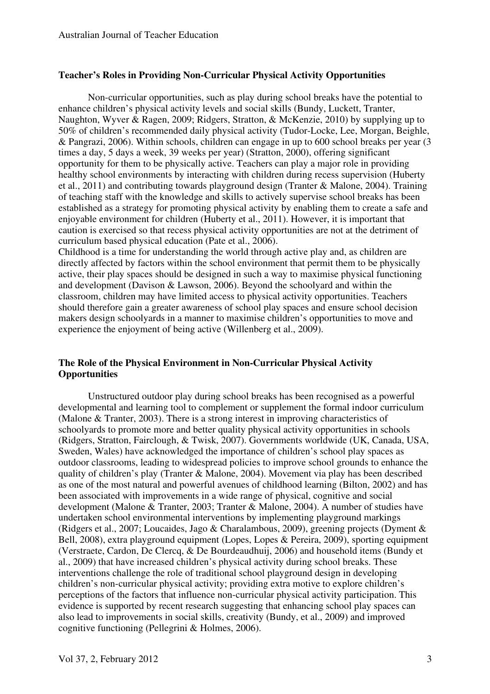## **Teacher's Roles in Providing Non-Curricular Physical Activity Opportunities**

Non-curricular opportunities, such as play during school breaks have the potential to enhance children's physical activity levels and social skills (Bundy, Luckett, Tranter, Naughton, Wyver & Ragen, 2009; Ridgers, Stratton, & McKenzie, 2010) by supplying up to 50% of children's recommended daily physical activity (Tudor-Locke, Lee, Morgan, Beighle, & Pangrazi, 2006). Within schools, children can engage in up to 600 school breaks per year (3 times a day, 5 days a week, 39 weeks per year) (Stratton, 2000), offering significant opportunity for them to be physically active. Teachers can play a major role in providing healthy school environments by interacting with children during recess supervision (Huberty et al., 2011) and contributing towards playground design (Tranter & Malone, 2004). Training of teaching staff with the knowledge and skills to actively supervise school breaks has been established as a strategy for promoting physical activity by enabling them to create a safe and enjoyable environment for children (Huberty et al., 2011). However, it is important that caution is exercised so that recess physical activity opportunities are not at the detriment of curriculum based physical education (Pate et al., 2006).

Childhood is a time for understanding the world through active play and, as children are directly affected by factors within the school environment that permit them to be physically active, their play spaces should be designed in such a way to maximise physical functioning and development (Davison & Lawson, 2006). Beyond the schoolyard and within the classroom, children may have limited access to physical activity opportunities. Teachers should therefore gain a greater awareness of school play spaces and ensure school decision makers design schoolyards in a manner to maximise children's opportunities to move and experience the enjoyment of being active (Willenberg et al., 2009).

## **The Role of the Physical Environment in Non-Curricular Physical Activity Opportunities**

 Unstructured outdoor play during school breaks has been recognised as a powerful developmental and learning tool to complement or supplement the formal indoor curriculum (Malone & Tranter, 2003). There is a strong interest in improving characteristics of schoolyards to promote more and better quality physical activity opportunities in schools (Ridgers, Stratton, Fairclough, & Twisk, 2007). Governments worldwide (UK, Canada, USA, Sweden, Wales) have acknowledged the importance of children's school play spaces as outdoor classrooms, leading to widespread policies to improve school grounds to enhance the quality of children's play (Tranter & Malone, 2004). Movement via play has been described as one of the most natural and powerful avenues of childhood learning (Bilton, 2002) and has been associated with improvements in a wide range of physical, cognitive and social development (Malone & Tranter, 2003; Tranter & Malone, 2004). A number of studies have undertaken school environmental interventions by implementing playground markings (Ridgers et al., 2007; Loucaides, Jago & Charalambous, 2009), greening projects (Dyment & Bell, 2008), extra playground equipment (Lopes, Lopes & Pereira, 2009), sporting equipment (Verstraete, Cardon, De Clercq, & De Bourdeaudhuij, 2006) and household items (Bundy et al., 2009) that have increased children's physical activity during school breaks. These interventions challenge the role of traditional school playground design in developing children's non-curricular physical activity; providing extra motive to explore children's perceptions of the factors that influence non-curricular physical activity participation. This evidence is supported by recent research suggesting that enhancing school play spaces can also lead to improvements in social skills, creativity (Bundy, et al., 2009) and improved cognitive functioning (Pellegrini & Holmes, 2006).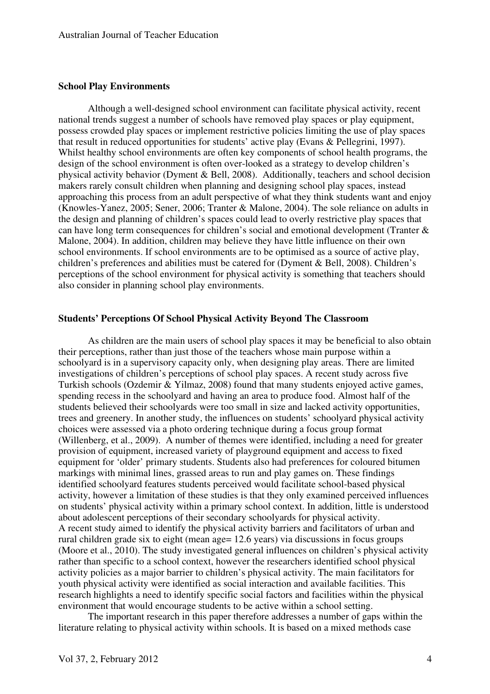#### **School Play Environments**

 Although a well-designed school environment can facilitate physical activity, recent national trends suggest a number of schools have removed play spaces or play equipment, possess crowded play spaces or implement restrictive policies limiting the use of play spaces that result in reduced opportunities for students' active play (Evans & Pellegrini, 1997). Whilst healthy school environments are often key components of school health programs, the design of the school environment is often over-looked as a strategy to develop children's physical activity behavior (Dyment & Bell, 2008). Additionally, teachers and school decision makers rarely consult children when planning and designing school play spaces, instead approaching this process from an adult perspective of what they think students want and enjoy (Knowles-Yanez, 2005; Sener, 2006; Tranter & Malone, 2004). The sole reliance on adults in the design and planning of children's spaces could lead to overly restrictive play spaces that can have long term consequences for children's social and emotional development (Tranter & Malone, 2004). In addition, children may believe they have little influence on their own school environments. If school environments are to be optimised as a source of active play, children's preferences and abilities must be catered for (Dyment & Bell, 2008). Children's perceptions of the school environment for physical activity is something that teachers should also consider in planning school play environments.

#### **Students' Perceptions Of School Physical Activity Beyond The Classroom**

As children are the main users of school play spaces it may be beneficial to also obtain their perceptions, rather than just those of the teachers whose main purpose within a schoolyard is in a supervisory capacity only, when designing play areas. There are limited investigations of children's perceptions of school play spaces. A recent study across five Turkish schools (Ozdemir & Yilmaz, 2008) found that many students enjoyed active games, spending recess in the schoolyard and having an area to produce food. Almost half of the students believed their schoolyards were too small in size and lacked activity opportunities, trees and greenery. In another study, the influences on students' schoolyard physical activity choices were assessed via a photo ordering technique during a focus group format (Willenberg, et al., 2009). A number of themes were identified, including a need for greater provision of equipment, increased variety of playground equipment and access to fixed equipment for 'older' primary students. Students also had preferences for coloured bitumen markings with minimal lines, grassed areas to run and play games on. These findings identified schoolyard features students perceived would facilitate school-based physical activity, however a limitation of these studies is that they only examined perceived influences on students' physical activity within a primary school context. In addition, little is understood about adolescent perceptions of their secondary schoolyards for physical activity. A recent study aimed to identify the physical activity barriers and facilitators of urban and rural children grade six to eight (mean age= 12.6 years) via discussions in focus groups (Moore et al., 2010). The study investigated general influences on children's physical activity rather than specific to a school context, however the researchers identified school physical activity policies as a major barrier to children's physical activity. The main facilitators for youth physical activity were identified as social interaction and available facilities. This research highlights a need to identify specific social factors and facilities within the physical environment that would encourage students to be active within a school setting.

The important research in this paper therefore addresses a number of gaps within the literature relating to physical activity within schools. It is based on a mixed methods case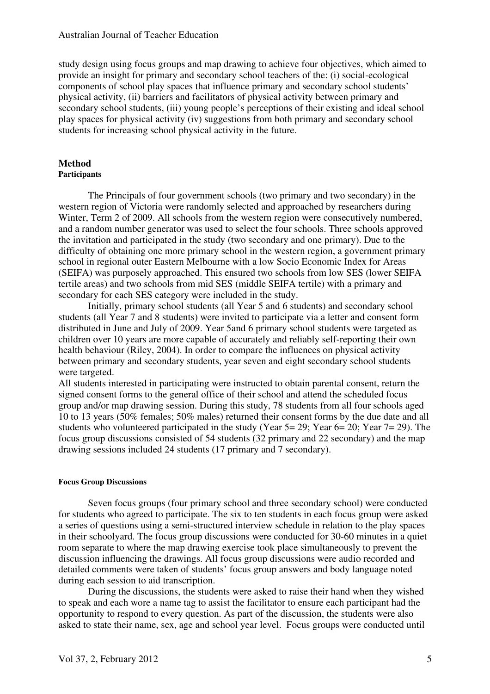#### Australian Journal of Teacher Education

study design using focus groups and map drawing to achieve four objectives, which aimed to provide an insight for primary and secondary school teachers of the: (i) social-ecological components of school play spaces that influence primary and secondary school students' physical activity, (ii) barriers and facilitators of physical activity between primary and secondary school students, (iii) young people's perceptions of their existing and ideal school play spaces for physical activity (iv) suggestions from both primary and secondary school students for increasing school physical activity in the future.

## **Method**

#### **Participants**

The Principals of four government schools (two primary and two secondary) in the western region of Victoria were randomly selected and approached by researchers during Winter, Term 2 of 2009. All schools from the western region were consecutively numbered, and a random number generator was used to select the four schools. Three schools approved the invitation and participated in the study (two secondary and one primary). Due to the difficulty of obtaining one more primary school in the western region, a government primary school in regional outer Eastern Melbourne with a low Socio Economic Index for Areas (SEIFA) was purposely approached. This ensured two schools from low SES (lower SEIFA tertile areas) and two schools from mid SES (middle SEIFA tertile) with a primary and secondary for each SES category were included in the study.

Initially, primary school students (all Year 5 and 6 students) and secondary school students (all Year 7 and 8 students) were invited to participate via a letter and consent form distributed in June and July of 2009. Year 5and 6 primary school students were targeted as children over 10 years are more capable of accurately and reliably self-reporting their own health behaviour (Riley, 2004). In order to compare the influences on physical activity between primary and secondary students, year seven and eight secondary school students were targeted.

All students interested in participating were instructed to obtain parental consent, return the signed consent forms to the general office of their school and attend the scheduled focus group and/or map drawing session. During this study, 78 students from all four schools aged 10 to 13 years (50% females; 50% males) returned their consent forms by the due date and all students who volunteered participated in the study (Year  $5=29$ ; Year  $6=20$ ; Year  $7=29$ ). The focus group discussions consisted of 54 students (32 primary and 22 secondary) and the map drawing sessions included 24 students (17 primary and 7 secondary).

#### **Focus Group Discussions**

Seven focus groups (four primary school and three secondary school) were conducted for students who agreed to participate. The six to ten students in each focus group were asked a series of questions using a semi-structured interview schedule in relation to the play spaces in their schoolyard. The focus group discussions were conducted for 30-60 minutes in a quiet room separate to where the map drawing exercise took place simultaneously to prevent the discussion influencing the drawings. All focus group discussions were audio recorded and detailed comments were taken of students' focus group answers and body language noted during each session to aid transcription.

During the discussions, the students were asked to raise their hand when they wished to speak and each wore a name tag to assist the facilitator to ensure each participant had the opportunity to respond to every question. As part of the discussion, the students were also asked to state their name, sex, age and school year level. Focus groups were conducted until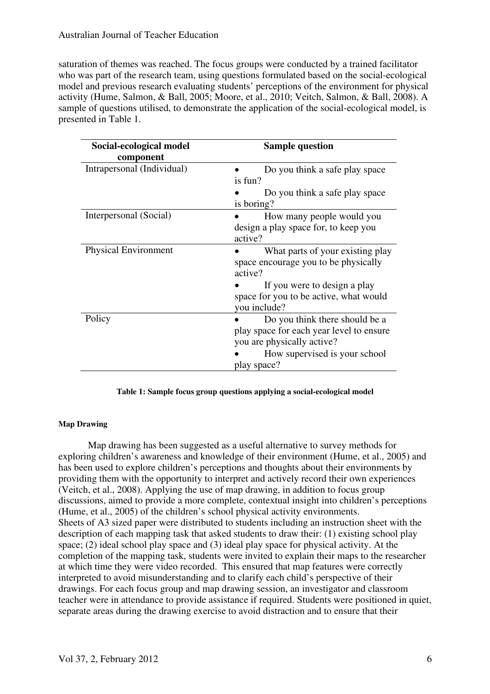saturation of themes was reached. The focus groups were conducted by a trained facilitator who was part of the research team, using questions formulated based on the social-ecological model and previous research evaluating students' perceptions of the environment for physical activity (Hume, Salmon, & Ball, 2005; Moore, et al., 2010; Veitch, Salmon, & Ball, 2008). A sample of questions utilised, to demonstrate the application of the social-ecological model, is presented in Table 1.

| Social-ecological model     | <b>Sample question</b>                   |
|-----------------------------|------------------------------------------|
| component                   |                                          |
| Intrapersonal (Individual)  | Do you think a safe play space           |
|                             | is fun?                                  |
|                             | Do you think a safe play space           |
|                             | is boring?                               |
| Interpersonal (Social)      | How many people would you                |
|                             | design a play space for, to keep you     |
|                             | active?                                  |
| <b>Physical Environment</b> | What parts of your existing play         |
|                             | space encourage you to be physically     |
|                             | active?                                  |
|                             | If you were to design a play             |
|                             | space for you to be active, what would   |
|                             | you include?                             |
| Policy                      | Do you think there should be a           |
|                             | play space for each year level to ensure |
|                             | you are physically active?               |
|                             | How supervised is your school            |
|                             | play space?                              |

#### **Table 1: Sample focus group questions applying a social-ecological model**

## **Map Drawing**

Map drawing has been suggested as a useful alternative to survey methods for exploring children's awareness and knowledge of their environment (Hume, et al., 2005) and has been used to explore children's perceptions and thoughts about their environments by providing them with the opportunity to interpret and actively record their own experiences (Veitch, et al., 2008). Applying the use of map drawing, in addition to focus group discussions, aimed to provide a more complete, contextual insight into children's perceptions (Hume, et al., 2005) of the children's school physical activity environments. Sheets of A3 sized paper were distributed to students including an instruction sheet with the description of each mapping task that asked students to draw their: (1) existing school play space; (2) ideal school play space and (3) ideal play space for physical activity. At the completion of the mapping task, students were invited to explain their maps to the researcher at which time they were video recorded. This ensured that map features were correctly interpreted to avoid misunderstanding and to clarify each child's perspective of their drawings. For each focus group and map drawing session, an investigator and classroom teacher were in attendance to provide assistance if required. Students were positioned in quiet, separate areas during the drawing exercise to avoid distraction and to ensure that their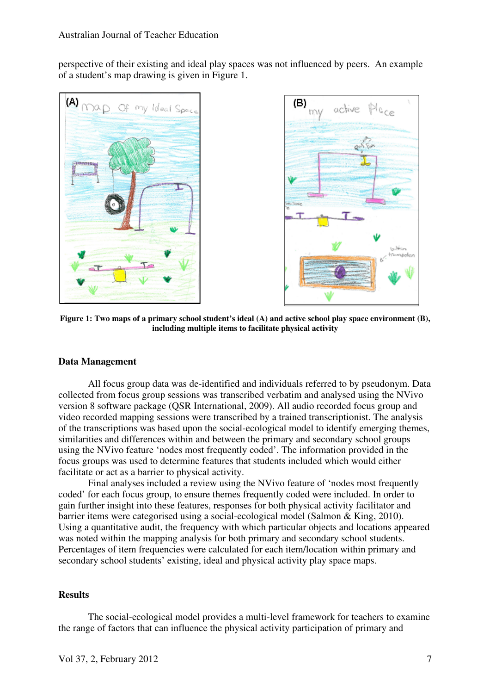perspective of their existing and ideal play spaces was not influenced by peers. An example of a student's map drawing is given in Figure 1.





**Figure 1: Two maps of a primary school student's ideal (A) and active school play space environment (B), including multiple items to facilitate physical activity** 

## **Data Management**

All focus group data was de-identified and individuals referred to by pseudonym. Data collected from focus group sessions was transcribed verbatim and analysed using the NVivo version 8 software package (QSR International, 2009). All audio recorded focus group and video recorded mapping sessions were transcribed by a trained transcriptionist. The analysis of the transcriptions was based upon the social-ecological model to identify emerging themes, similarities and differences within and between the primary and secondary school groups using the NVivo feature 'nodes most frequently coded'. The information provided in the focus groups was used to determine features that students included which would either facilitate or act as a barrier to physical activity.

Final analyses included a review using the NVivo feature of 'nodes most frequently coded' for each focus group, to ensure themes frequently coded were included. In order to gain further insight into these features, responses for both physical activity facilitator and barrier items were categorised using a social-ecological model (Salmon & King, 2010). Using a quantitative audit, the frequency with which particular objects and locations appeared was noted within the mapping analysis for both primary and secondary school students. Percentages of item frequencies were calculated for each item/location within primary and secondary school students' existing, ideal and physical activity play space maps.

## **Results**

The social-ecological model provides a multi-level framework for teachers to examine the range of factors that can influence the physical activity participation of primary and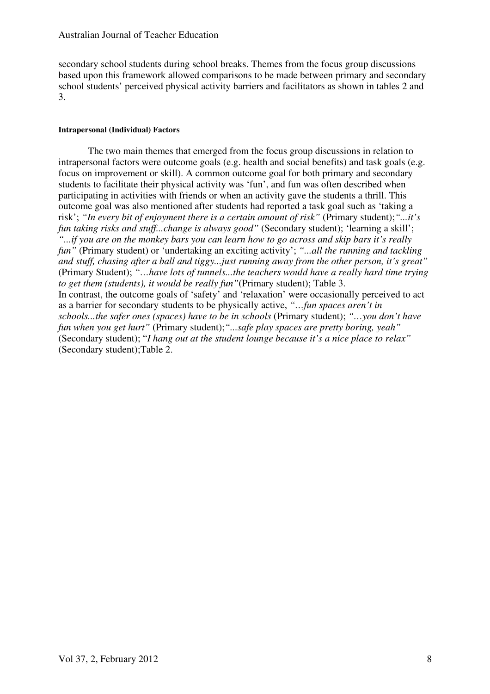secondary school students during school breaks. Themes from the focus group discussions based upon this framework allowed comparisons to be made between primary and secondary school students' perceived physical activity barriers and facilitators as shown in tables 2 and 3.

#### **Intrapersonal (Individual) Factors**

The two main themes that emerged from the focus group discussions in relation to intrapersonal factors were outcome goals (e.g. health and social benefits) and task goals (e.g. focus on improvement or skill). A common outcome goal for both primary and secondary students to facilitate their physical activity was 'fun', and fun was often described when participating in activities with friends or when an activity gave the students a thrill. This outcome goal was also mentioned after students had reported a task goal such as 'taking a risk'; *"In every bit of enjoyment there is a certain amount of risk"* (Primary student);*"...it's fun taking risks and stuff...change is always good"* (Secondary student); 'learning a skill'; *"...if you are on the monkey bars you can learn how to go across and skip bars it's really fun"* (Primary student) or 'undertaking an exciting activity'; *"...all the running and tackling and stuff, chasing after a ball and tiggy...just running away from the other person, it's great"* (Primary Student); *"…have lots of tunnels...the teachers would have a really hard time trying to get them (students), it would be really fun"*(Primary student); Table 3. In contrast, the outcome goals of 'safety' and 'relaxation' were occasionally perceived to act as a barrier for secondary students to be physically active, *"…fun spaces aren't in schools...the safer ones (spaces) have to be in schools* (Primary student); *"…you don't have fun when you get hurt"* (Primary student);*"...safe play spaces are pretty boring, yeah"* (Secondary student); "*I hang out at the student lounge because it's a nice place to relax"* (Secondary student);Table 2.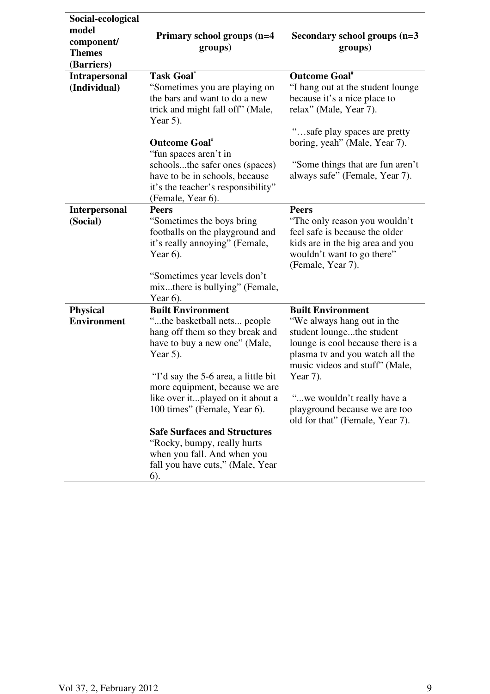| Social-ecological                                  |                                                                                                                                                                                                                                                                                                                                                                                                                                                         |                                                                                                                                                                                                                                                                                                             |
|----------------------------------------------------|---------------------------------------------------------------------------------------------------------------------------------------------------------------------------------------------------------------------------------------------------------------------------------------------------------------------------------------------------------------------------------------------------------------------------------------------------------|-------------------------------------------------------------------------------------------------------------------------------------------------------------------------------------------------------------------------------------------------------------------------------------------------------------|
| model<br>component/<br><b>Themes</b><br>(Barriers) | Primary school groups (n=4<br>groups)                                                                                                                                                                                                                                                                                                                                                                                                                   | Secondary school groups (n=3<br>groups)                                                                                                                                                                                                                                                                     |
| <b>Intrapersonal</b><br>(Individual)               | <b>Task Goal</b><br>"Sometimes you are playing on<br>the bars and want to do a new<br>trick and might fall off" (Male,<br>Year $5$ ).<br><b>Outcome Goal</b> *<br>"fun spaces aren't in<br>schoolsthe safer ones (spaces)<br>have to be in schools, because<br>it's the teacher's responsibility"                                                                                                                                                       | <b>Outcome Goal</b> *<br>"I hang out at the student lounge<br>because it's a nice place to<br>relax" (Male, Year 7).<br>"safe play spaces are pretty<br>boring, yeah" (Male, Year 7).<br>"Some things that are fun aren't<br>always safe" (Female, Year 7).                                                 |
|                                                    | (Female, Year 6).                                                                                                                                                                                                                                                                                                                                                                                                                                       |                                                                                                                                                                                                                                                                                                             |
| <b>Interpersonal</b><br>(Social)                   | <b>Peers</b><br>"Sometimes the boys bring"<br>footballs on the playground and<br>it's really annoying" (Female,<br>Year $6$ ).<br>"Sometimes year levels don't<br>mixthere is bullying" (Female,                                                                                                                                                                                                                                                        | <b>Peers</b><br>"The only reason you wouldn't<br>feel safe is because the older<br>kids are in the big area and you<br>wouldn't want to go there"<br>(Female, Year 7).                                                                                                                                      |
| <b>Physical</b><br><b>Environment</b>              | Year $6$ ).<br><b>Built Environment</b><br>"the basketball nets people<br>hang off them so they break and<br>have to buy a new one" (Male,<br>Year $5$ ).<br>"I'd say the 5-6 area, a little bit"<br>more equipment, because we are<br>like over itplayed on it about a<br>100 times" (Female, Year 6).<br><b>Safe Surfaces and Structures</b><br>"Rocky, bumpy, really hurts<br>when you fall. And when you<br>fall you have cuts," (Male, Year<br>6). | <b>Built Environment</b><br>"We always hang out in the<br>student loungethe student<br>lounge is cool because there is a<br>plasma tv and you watch all the<br>music videos and stuff" (Male,<br>Year 7).<br>"we wouldn't really have a<br>playground because we are too<br>old for that" (Female, Year 7). |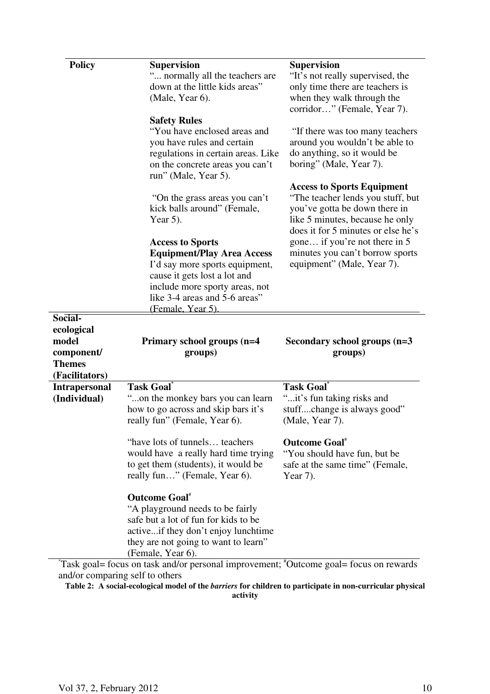| <b>Policy</b>        | <b>Supervision</b>                                                   | <b>Supervision</b>                                                    |
|----------------------|----------------------------------------------------------------------|-----------------------------------------------------------------------|
|                      | " normally all the teachers are<br>down at the little kids areas"    | "It's not really supervised, the<br>only time there are teachers is   |
|                      | (Male, Year 6).                                                      | when they walk through the                                            |
|                      |                                                                      | corridor" (Female, Year 7).                                           |
|                      | <b>Safety Rules</b>                                                  |                                                                       |
|                      | "You have enclosed areas and                                         | "If there was too many teachers"                                      |
|                      | you have rules and certain<br>regulations in certain areas. Like     | around you wouldn't be able to<br>do anything, so it would be         |
|                      | on the concrete areas you can't<br>run" (Male, Year 5).              | boring" (Male, Year 7).                                               |
|                      |                                                                      | <b>Access to Sports Equipment</b>                                     |
|                      | "On the grass areas you can't                                        | "The teacher lends you stuff, but                                     |
|                      | kick balls around" (Female,                                          | you've gotta be down there in                                         |
|                      | Year 5).                                                             | like 5 minutes, because he only<br>does it for 5 minutes or else he's |
|                      | <b>Access to Sports</b>                                              | gone if you're not there in 5                                         |
|                      | <b>Equipment/Play Area Access</b>                                    | minutes you can't borrow sports                                       |
|                      | I'd say more sports equipment,                                       | equipment" (Male, Year 7).                                            |
|                      | cause it gets lost a lot and                                         |                                                                       |
|                      | include more sporty areas, not                                       |                                                                       |
|                      | like 3-4 areas and 5-6 areas"                                        |                                                                       |
|                      | (Female, Year 5)                                                     |                                                                       |
| Social-              |                                                                      |                                                                       |
| ecological           |                                                                      |                                                                       |
| model                | Primary school groups (n=4                                           | Secondary school groups (n=3                                          |
| component/           | groups)                                                              | groups)                                                               |
| <b>Themes</b>        |                                                                      |                                                                       |
| (Facilitators)       |                                                                      |                                                                       |
| <b>Intrapersonal</b> | <b>Task Goal</b>                                                     | <b>Task Goal</b> *                                                    |
| (Individual)         | "on the monkey bars you can learn                                    | "it's fun taking risks and                                            |
|                      | how to go across and skip bars it's<br>really fun" (Female, Year 6). | stuffchange is always good"<br>(Male, Year 7).                        |
|                      |                                                                      |                                                                       |
|                      | "have lots of tunnels teachers"                                      | <b>Outcome Goal</b> *                                                 |
|                      | would have a really hard time trying                                 | "You should have fun, but be                                          |
|                      | to get them (students), it would be<br>really fun" (Female, Year 6). | safe at the same time" (Female,<br>Year 7).                           |
|                      |                                                                      |                                                                       |
|                      | <b>Outcome Goal</b> *<br>"A playground needs to be fairly            |                                                                       |
|                      | safe but a lot of fun for kids to be                                 |                                                                       |
|                      | activeif they don't enjoy lunchtime                                  |                                                                       |
|                      | they are not going to want to learn"<br>(Female, Year 6).            |                                                                       |

\* Task goal= focus on task and/or personal improvement; #Outcome goal= focus on rewards and/or comparing self to others

**Table 2: A social-ecological model of the** *barriers* **for children to participate in non-curricular physical activity**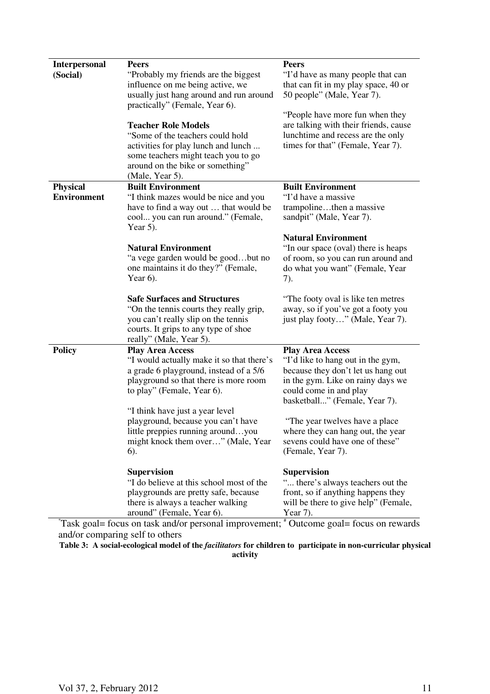| <b>Interpersonal</b><br>(Social) | <b>Peers</b><br>"Probably my friends are the biggest<br>influence on me being active, we<br>usually just hang around and run around<br>practically" (Female, Year 6).                               | <b>Peers</b><br>"I'd have as many people that can<br>that can fit in my play space, 40 or<br>50 people" (Male, Year 7).                                                                            |  |  |  |
|----------------------------------|-----------------------------------------------------------------------------------------------------------------------------------------------------------------------------------------------------|----------------------------------------------------------------------------------------------------------------------------------------------------------------------------------------------------|--|--|--|
|                                  | <b>Teacher Role Models</b><br>"Some of the teachers could hold<br>activities for play lunch and lunch<br>some teachers might teach you to go<br>around on the bike or something"<br>(Male, Year 5). | "People have more fun when they<br>are talking with their friends, cause<br>lunchtime and recess are the only<br>times for that" (Female, Year 7).                                                 |  |  |  |
| <b>Physical</b>                  | <b>Built Environment</b>                                                                                                                                                                            | <b>Built Environment</b>                                                                                                                                                                           |  |  |  |
| <b>Environment</b>               | "I think mazes would be nice and you                                                                                                                                                                | "I'd have a massive"                                                                                                                                                                               |  |  |  |
|                                  | have to find a way out  that would be<br>cool you can run around." (Female,<br>Year $5$ ).                                                                                                          | trampolinethen a massive<br>sandpit" (Male, Year 7).                                                                                                                                               |  |  |  |
|                                  | <b>Natural Environment</b><br>"a vege garden would be goodbut no<br>one maintains it do they?" (Female,<br>Year $6$ ).                                                                              | <b>Natural Environment</b><br>"In our space (oval) there is heaps<br>of room, so you can run around and<br>do what you want" (Female, Year<br>7).                                                  |  |  |  |
|                                  | <b>Safe Surfaces and Structures</b><br>"On the tennis courts they really grip,<br>you can't really slip on the tennis<br>courts. It grips to any type of shoe<br>really" (Male, Year 5).            | "The footy oval is like ten metres"<br>away, so if you've got a footy you<br>just play footy" (Male, Year 7).                                                                                      |  |  |  |
| <b>Policy</b>                    | <b>Play Area Access</b><br>"I would actually make it so that there's<br>a grade 6 playground, instead of a 5/6<br>playground so that there is more room<br>to play" (Female, Year 6).               | <b>Play Area Access</b><br>"I'd like to hang out in the gym,<br>because they don't let us hang out<br>in the gym. Like on rainy days we<br>could come in and play<br>basketball" (Female, Year 7). |  |  |  |
|                                  | "I think have just a year level"<br>playground, because you can't have<br>little preppies running aroundyou<br>might knock them over" (Male, Year<br>6).                                            | "The year twelves have a place"<br>where they can hang out, the year<br>sevens could have one of these"<br>(Female, Year 7).                                                                       |  |  |  |
|                                  | <b>Supervision</b><br>"I do believe at this school most of the<br>playgrounds are pretty safe, because<br>there is always a teacher walking<br>around" (Female, Year 6).                            | <b>Supervision</b><br>" there's always teachers out the<br>front, so if anything happens they<br>will be there to give help" (Female,<br>Year $7$ ).                                               |  |  |  |
|                                  | Task goal= focus on task and/or personal improvement; <sup>*</sup> Outcome goal= focus on rewards                                                                                                   |                                                                                                                                                                                                    |  |  |  |
|                                  | and/or comparing self to others                                                                                                                                                                     |                                                                                                                                                                                                    |  |  |  |

**Table 3: A social-ecological model of the** *facilitators* **for children to participate in non-curricular physical activity**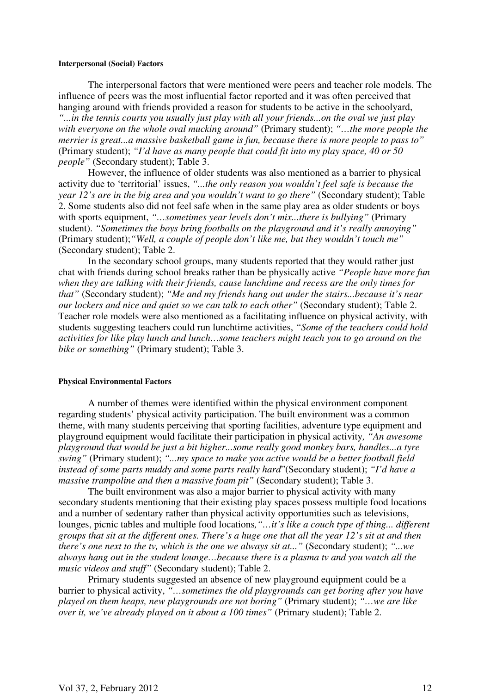#### **Interpersonal (Social) Factors**

The interpersonal factors that were mentioned were peers and teacher role models. The influence of peers was the most influential factor reported and it was often perceived that hanging around with friends provided a reason for students to be active in the schoolyard, *"...in the tennis courts you usually just play with all your friends...on the oval we just play with everyone on the whole oval mucking around"* (Primary student); *"…the more people the merrier is great...a massive basketball game is fun, because there is more people to pass to"* (Primary student); *"I'd have as many people that could fit into my play space, 40 or 50 people"* (Secondary student); Table 3.

However, the influence of older students was also mentioned as a barrier to physical activity due to 'territorial' issues, *"...the only reason you wouldn't feel safe is because the year 12's are in the big area and you wouldn't want to go there"* (Secondary student); Table 2. Some students also did not feel safe when in the same play area as older students or boys with sports equipment, *"…sometimes year levels don't mix...there is bullying"* (Primary student). *"Sometimes the boys bring footballs on the playground and it's really annoying"* (Primary student);*"Well, a couple of people don't like me, but they wouldn't touch me"* (Secondary student); Table 2.

In the secondary school groups, many students reported that they would rather just chat with friends during school breaks rather than be physically active *"People have more fun when they are talking with their friends, cause lunchtime and recess are the only times for that"* (Secondary student); *"Me and my friends hang out under the stairs...because it's near our lockers and nice and quiet so we can talk to each other"* (Secondary student); Table 2. Teacher role models were also mentioned as a facilitating influence on physical activity, with students suggesting teachers could run lunchtime activities, *"Some of the teachers could hold activities for like play lunch and lunch…some teachers might teach you to go around on the bike or something"* (Primary student); Table 3.

#### **Physical Environmental Factors**

A number of themes were identified within the physical environment component regarding students' physical activity participation. The built environment was a common theme, with many students perceiving that sporting facilities, adventure type equipment and playground equipment would facilitate their participation in physical activity*, "An awesome playground that would be just a bit higher...some really good monkey bars, handles...a tyre swing"* (Primary student); *"...my space to make you active would be a better football field instead of some parts muddy and some parts really hard*"(Secondary student); *"I'd have a massive trampoline and then a massive foam pit"* (Secondary student); Table 3.

The built environment was also a major barrier to physical activity with many secondary students mentioning that their existing play spaces possess multiple food locations and a number of sedentary rather than physical activity opportunities such as televisions, lounges, picnic tables and multiple food locations*,"…it's like a couch type of thing... different groups that sit at the different ones. There's a huge one that all the year 12's sit at and then there's one next to the tv, which is the one we always sit at..."* (Secondary student); *"...we always hang out in the student lounge…because there is a plasma tv and you watch all the music videos and stuff"* (Secondary student); Table 2.

Primary students suggested an absence of new playground equipment could be a barrier to physical activity, *"…sometimes the old playgrounds can get boring after you have played on them heaps, new playgrounds are not boring"* (Primary student); *"…we are like over it, we've already played on it about a 100 times"* (Primary student); Table 2.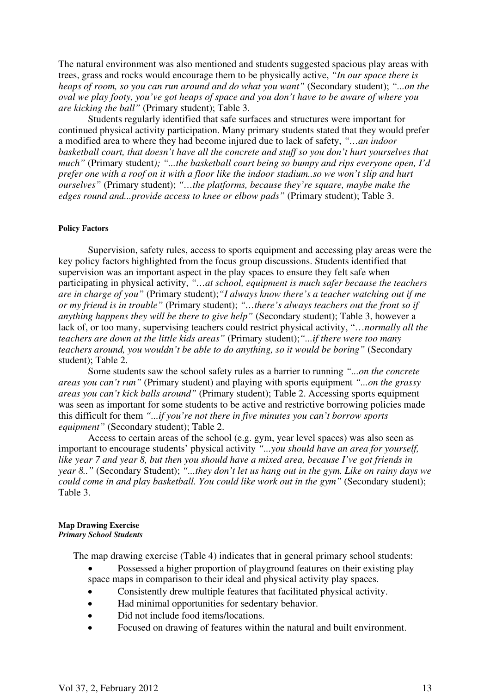The natural environment was also mentioned and students suggested spacious play areas with trees, grass and rocks would encourage them to be physically active, *"In our space there is heaps of room, so you can run around and do what you want"* (Secondary student); *"...on the oval we play footy, you've got heaps of space and you don't have to be aware of where you are kicking the ball"* (Primary student); Table 3.

Students regularly identified that safe surfaces and structures were important for continued physical activity participation. Many primary students stated that they would prefer a modified area to where they had become injured due to lack of safety, *"…an indoor basketball court, that doesn't have all the concrete and stuff so you don't hurt yourselves that much"* (Primary student*); "...the basketball court being so bumpy and rips everyone open, I'd prefer one with a roof on it with a floor like the indoor stadium..so we won't slip and hurt ourselves"* (Primary student); *"…the platforms, because they're square, maybe make the edges round and...provide access to knee or elbow pads"* (Primary student); Table 3.

#### **Policy Factors**

Supervision, safety rules, access to sports equipment and accessing play areas were the key policy factors highlighted from the focus group discussions. Students identified that supervision was an important aspect in the play spaces to ensure they felt safe when participating in physical activity, *"…at school, equipment is much safer because the teachers are in charge of you"* (Primary student);*"I always know there's a teacher watching out if me or my friend is in trouble"* (Primary student); *"…there's always teachers out the front so if anything happens they will be there to give help"* (Secondary student); Table 3, however a lack of, or too many, supervising teachers could restrict physical activity, "…*normally all the teachers are down at the little kids areas"* (Primary student);*"...if there were too many teachers around, you wouldn't be able to do anything, so it would be boring"* (Secondary student); Table 2.

Some students saw the school safety rules as a barrier to running *"...on the concrete areas you can't run"* (Primary student) and playing with sports equipment *"...on the grassy areas you can't kick balls around"* (Primary student); Table 2. Accessing sports equipment was seen as important for some students to be active and restrictive borrowing policies made this difficult for them *"...if you're not there in five minutes you can't borrow sports equipment"* (Secondary student); Table 2.

Access to certain areas of the school (e.g. gym, year level spaces) was also seen as important to encourage students' physical activity *"...you should have an area for yourself, like year 7 and year 8, but then you should have a mixed area, because I've got friends in year 8.."* (Secondary Student); *"...they don't let us hang out in the gym. Like on rainy days we could come in and play basketball. You could like work out in the gym"* (Secondary student); Table 3.

#### **Map Drawing Exercise**  *Primary School Students*

The map drawing exercise (Table 4) indicates that in general primary school students:

- Possessed a higher proportion of playground features on their existing play space maps in comparison to their ideal and physical activity play spaces.
- Consistently drew multiple features that facilitated physical activity.
- Had minimal opportunities for sedentary behavior.
- Did not include food items/locations.
- Focused on drawing of features within the natural and built environment.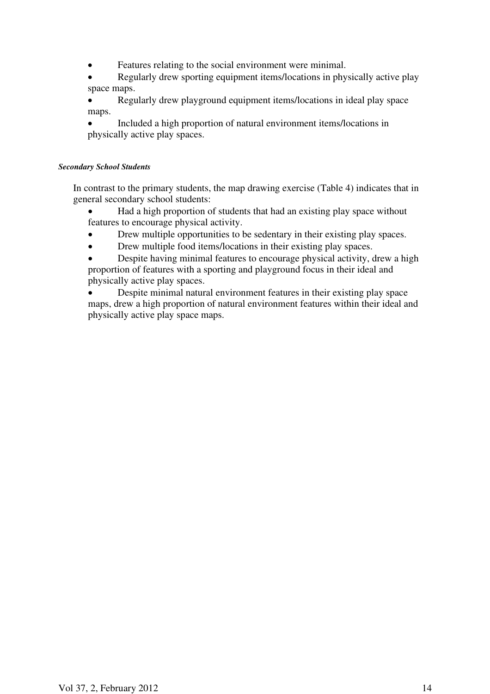Features relating to the social environment were minimal.

• Regularly drew sporting equipment items/locations in physically active play space maps.

• Regularly drew playground equipment items/locations in ideal play space maps.

• Included a high proportion of natural environment items/locations in physically active play spaces.

## *Secondary School Students*

In contrast to the primary students, the map drawing exercise (Table 4) indicates that in general secondary school students:

• Had a high proportion of students that had an existing play space without features to encourage physical activity.

- Drew multiple opportunities to be sedentary in their existing play spaces.
- Drew multiple food items/locations in their existing play spaces.

• Despite having minimal features to encourage physical activity, drew a high proportion of features with a sporting and playground focus in their ideal and physically active play spaces.

• Despite minimal natural environment features in their existing play space maps, drew a high proportion of natural environment features within their ideal and physically active play space maps.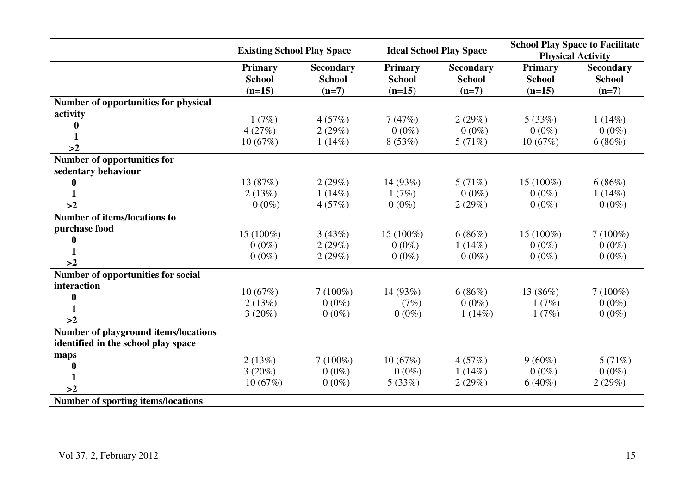|                                             | <b>Existing School Play Space</b> |                  | <b>Ideal School Play Space</b> |                  | <b>School Play Space to Facilitate</b><br><b>Physical Activity</b> |                  |
|---------------------------------------------|-----------------------------------|------------------|--------------------------------|------------------|--------------------------------------------------------------------|------------------|
|                                             | <b>Primary</b>                    | <b>Secondary</b> | <b>Primary</b>                 | <b>Secondary</b> | <b>Primary</b>                                                     | <b>Secondary</b> |
|                                             | <b>School</b>                     | <b>School</b>    | <b>School</b>                  | <b>School</b>    | <b>School</b>                                                      | <b>School</b>    |
|                                             | $(n=15)$                          | $(n=7)$          | $(n=15)$                       | $(n=7)$          | $(n=15)$                                                           | $(n=7)$          |
| Number of opportunities for physical        |                                   |                  |                                |                  |                                                                    |                  |
| activity                                    | 1(7%)                             | 4(57%)           | 7(47%)                         |                  | 5(33%)                                                             |                  |
|                                             |                                   |                  |                                | 2(29%)           |                                                                    | 1(14%)           |
| 1                                           | 4(27%)                            | 2(29%)           | $0(0\%)$                       | $0(0\%)$         | $0(0\%)$                                                           | $0(0\%)$         |
| >2                                          | 10(67%)                           | 1(14%)           | 8(53%)                         | 5(71%)           | 10(67%)                                                            | 6(86%)           |
| Number of opportunities for                 |                                   |                  |                                |                  |                                                                    |                  |
| sedentary behaviour                         |                                   |                  |                                |                  |                                                                    |                  |
|                                             | 13 (87%)                          | 2(29%)           | 14(93%)                        | 5(71%)           | $15(100\%)$                                                        | 6(86%)           |
|                                             | 2(13%)                            | $1(14\%)$        | 1(7%)                          | $0(0\%)$         | $0(0\%)$                                                           | 1(14%)           |
| >2                                          | $0(0\%)$                          | 4(57%)           | $0(0\%)$                       | 2(29%)           | $0(0\%)$                                                           | $0(0\%)$         |
| <b>Number of items/locations to</b>         |                                   |                  |                                |                  |                                                                    |                  |
| purchase food                               | 15 (100%)                         | 3(43%)           | 15 (100%)                      | 6(86%)           | 15 (100%)                                                          | $7(100\%)$       |
|                                             |                                   |                  |                                |                  |                                                                    |                  |
|                                             | $0(0\%)$                          | 2(29%)           | $0(0\%)$                       | 1(14%)           | $0(0\%)$                                                           | $0(0\%)$         |
| >2                                          | $0(0\%)$                          | 2(29%)           | $0(0\%)$                       | $0(0\%)$         | $0(0\%)$                                                           | $0(0\%)$         |
| Number of opportunities for social          |                                   |                  |                                |                  |                                                                    |                  |
| interaction                                 | 10(67%)                           | $7(100\%)$       | 14 (93%)                       | 6(86%)           | 13 (86%)                                                           | $7(100\%)$       |
| 0                                           |                                   | $0(0\%)$         |                                | $0(0\%)$         |                                                                    |                  |
|                                             | 2(13%)                            |                  | 1(7%)                          |                  | 1(7%)                                                              | $0(0\%)$         |
| >2                                          | 3(20%)                            | $0(0\%)$         | $0(0\%)$                       | 1(14%)           | 1(7%)                                                              | $0(0\%)$         |
| <b>Number of playground items/locations</b> |                                   |                  |                                |                  |                                                                    |                  |
| identified in the school play space         |                                   |                  |                                |                  |                                                                    |                  |
| maps                                        | 2(13%)                            | $7(100\%)$       | 10(67%)                        | 4(57%)           | $9(60\%)$                                                          | 5(71%)           |
|                                             | $3(20\%)$                         | $0(0\%)$         | $0(0\%)$                       | 1(14%)           | $0(0\%)$                                                           | $0(0\%)$         |
|                                             | 10(67%)                           | $0(0\%)$         | 5(33%)                         | 2(29%)           | $6(40\%)$                                                          | 2(29%)           |
| >2                                          |                                   |                  |                                |                  |                                                                    |                  |
| <b>Number of sporting items/locations</b>   |                                   |                  |                                |                  |                                                                    |                  |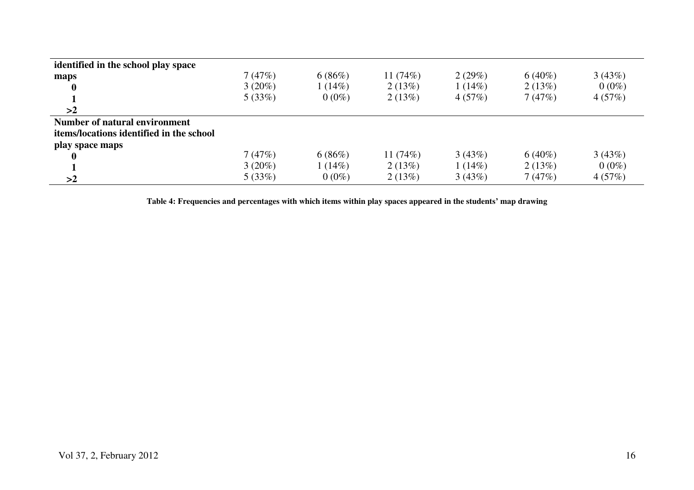| identified in the school play space      |           |          |            |        |           |          |
|------------------------------------------|-----------|----------|------------|--------|-----------|----------|
| maps                                     | 7(47%)    | 6(86%)   | 11 $(74%)$ | 2(29%) | $6(40\%)$ | 3(43%)   |
| $\boldsymbol{0}$                         | $3(20\%)$ | 1(14%)   | 2(13%)     | 1(14%) | 2(13%)    | $0(0\%)$ |
|                                          | 5(33%)    | $0(0\%)$ | 2(13%)     | 4(57%) | 7(47%)    | 4(57%)   |
| >2                                       |           |          |            |        |           |          |
| Number of natural environment            |           |          |            |        |           |          |
| items/locations identified in the school |           |          |            |        |           |          |
| play space maps                          |           |          |            |        |           |          |
| $\mathbf{0}$                             | 7(47%)    | 6(86%)   | 11 $(74%)$ | 3(43%) | $6(40\%)$ | 3(43%)   |
|                                          | $3(20\%)$ | 1(14%)   | 2(13%)     | 1(14%) | 2(13%)    | $0(0\%)$ |
| >2                                       | 5(33%)    | $0(0\%)$ | 2(13%)     | 3(43%) | 7(47%)    | 4(57%)   |

**Table 4: Frequencies and percentages with which items within play spaces appeared in the students' map drawing**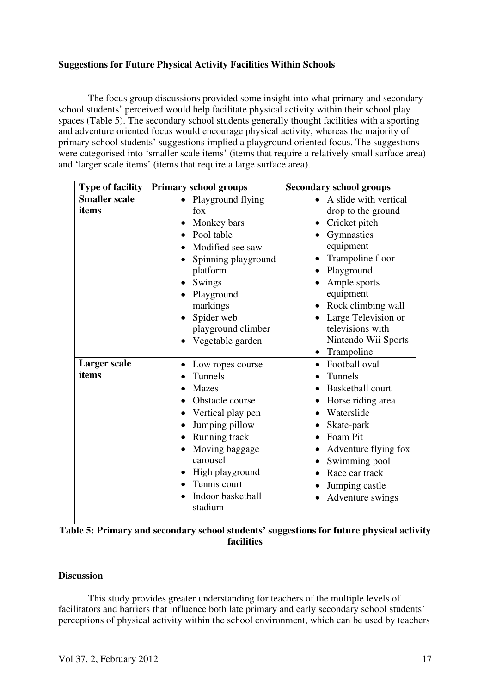## **Suggestions for Future Physical Activity Facilities Within Schools**

The focus group discussions provided some insight into what primary and secondary school students' perceived would help facilitate physical activity within their school play spaces (Table 5). The secondary school students generally thought facilities with a sporting and adventure oriented focus would encourage physical activity, whereas the majority of primary school students' suggestions implied a playground oriented focus. The suggestions were categorised into 'smaller scale items' (items that require a relatively small surface area) and 'larger scale items' (items that require a large surface area).

| <b>Type of facility</b> | <b>Primary school groups</b> | <b>Secondary school groups</b>     |
|-------------------------|------------------------------|------------------------------------|
| <b>Smaller scale</b>    | Playground flying            | A slide with vertical<br>$\bullet$ |
| items                   | $f_{OX}$                     | drop to the ground                 |
|                         | Monkey bars                  | Cricket pitch                      |
|                         | Pool table                   | Gymnastics                         |
|                         | Modified see saw             | equipment                          |
|                         | Spinning playground          | • Trampoline floor                 |
|                         | platform                     | Playground                         |
|                         | Swings                       | Ample sports                       |
|                         | Playground                   | equipment                          |
|                         | markings                     | Rock climbing wall                 |
|                         | Spider web                   | Large Television or                |
|                         | playground climber           | televisions with                   |
|                         | Vegetable garden             | Nintendo Wii Sports                |
|                         |                              | • Trampoline                       |
| <b>Larger</b> scale     | Low ropes course             | Football oval<br>$\bullet$         |
| items                   | <b>Tunnels</b>               | Tunnels                            |
|                         | <b>Mazes</b>                 | <b>Basketball court</b>            |
|                         | Obstacle course              | Horse riding area                  |
|                         | Vertical play pen            | Waterslide                         |
|                         | Jumping pillow               | Skate-park                         |
|                         | Running track                | Foam Pit                           |
|                         | Moving baggage               | Adventure flying fox               |
|                         | carousel                     | Swimming pool                      |
|                         | High playground              | Race car track                     |
|                         | Tennis court                 | Jumping castle                     |
|                         | Indoor basketball<br>stadium | Adventure swings                   |
|                         |                              |                                    |

| Table 5: Primary and secondary school students' suggestions for future physical activity |  |
|------------------------------------------------------------------------------------------|--|
| facilities                                                                               |  |

## **Discussion**

This study provides greater understanding for teachers of the multiple levels of facilitators and barriers that influence both late primary and early secondary school students' perceptions of physical activity within the school environment, which can be used by teachers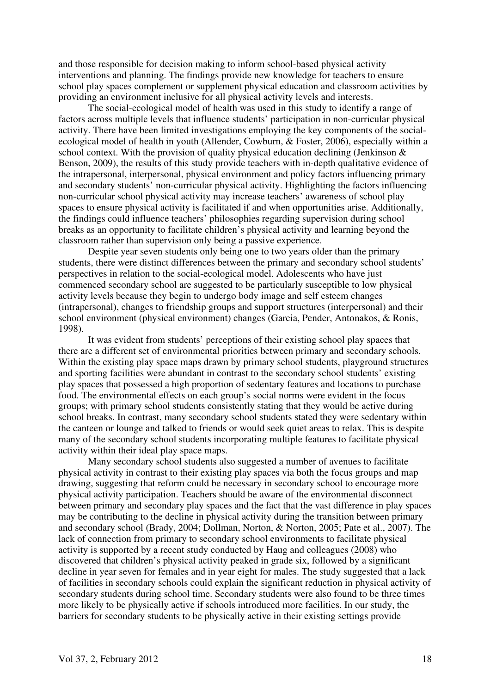and those responsible for decision making to inform school-based physical activity interventions and planning. The findings provide new knowledge for teachers to ensure school play spaces complement or supplement physical education and classroom activities by providing an environment inclusive for all physical activity levels and interests.

 The social-ecological model of health was used in this study to identify a range of factors across multiple levels that influence students' participation in non-curricular physical activity. There have been limited investigations employing the key components of the socialecological model of health in youth (Allender, Cowburn, & Foster, 2006), especially within a school context. With the provision of quality physical education declining (Jenkinson & Benson, 2009), the results of this study provide teachers with in-depth qualitative evidence of the intrapersonal, interpersonal, physical environment and policy factors influencing primary and secondary students' non-curricular physical activity. Highlighting the factors influencing non-curricular school physical activity may increase teachers' awareness of school play spaces to ensure physical activity is facilitated if and when opportunities arise. Additionally, the findings could influence teachers' philosophies regarding supervision during school breaks as an opportunity to facilitate children's physical activity and learning beyond the classroom rather than supervision only being a passive experience.

Despite year seven students only being one to two years older than the primary students, there were distinct differences between the primary and secondary school students' perspectives in relation to the social-ecological model. Adolescents who have just commenced secondary school are suggested to be particularly susceptible to low physical activity levels because they begin to undergo body image and self esteem changes (intrapersonal), changes to friendship groups and support structures (interpersonal) and their school environment (physical environment) changes (Garcia, Pender, Antonakos, & Ronis, 1998).

It was evident from students' perceptions of their existing school play spaces that there are a different set of environmental priorities between primary and secondary schools. Within the existing play space maps drawn by primary school students, playground structures and sporting facilities were abundant in contrast to the secondary school students' existing play spaces that possessed a high proportion of sedentary features and locations to purchase food. The environmental effects on each group's social norms were evident in the focus groups; with primary school students consistently stating that they would be active during school breaks. In contrast, many secondary school students stated they were sedentary within the canteen or lounge and talked to friends or would seek quiet areas to relax. This is despite many of the secondary school students incorporating multiple features to facilitate physical activity within their ideal play space maps.

 Many secondary school students also suggested a number of avenues to facilitate physical activity in contrast to their existing play spaces via both the focus groups and map drawing, suggesting that reform could be necessary in secondary school to encourage more physical activity participation. Teachers should be aware of the environmental disconnect between primary and secondary play spaces and the fact that the vast difference in play spaces may be contributing to the decline in physical activity during the transition between primary and secondary school (Brady, 2004; Dollman, Norton, & Norton, 2005; Pate et al., 2007). The lack of connection from primary to secondary school environments to facilitate physical activity is supported by a recent study conducted by Haug and colleagues (2008) who discovered that children's physical activity peaked in grade six, followed by a significant decline in year seven for females and in year eight for males. The study suggested that a lack of facilities in secondary schools could explain the significant reduction in physical activity of secondary students during school time. Secondary students were also found to be three times more likely to be physically active if schools introduced more facilities. In our study, the barriers for secondary students to be physically active in their existing settings provide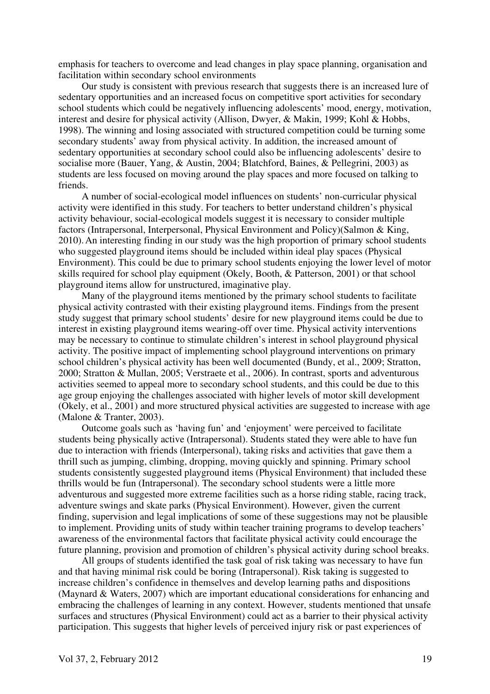emphasis for teachers to overcome and lead changes in play space planning, organisation and facilitation within secondary school environments

Our study is consistent with previous research that suggests there is an increased lure of sedentary opportunities and an increased focus on competitive sport activities for secondary school students which could be negatively influencing adolescents' mood, energy, motivation, interest and desire for physical activity (Allison, Dwyer, & Makin, 1999; Kohl & Hobbs, 1998). The winning and losing associated with structured competition could be turning some secondary students' away from physical activity. In addition, the increased amount of sedentary opportunities at secondary school could also be influencing adolescents' desire to socialise more (Bauer, Yang, & Austin, 2004; Blatchford, Baines, & Pellegrini, 2003) as students are less focused on moving around the play spaces and more focused on talking to friends.

A number of social-ecological model influences on students' non-curricular physical activity were identified in this study. For teachers to better understand children's physical activity behaviour, social-ecological models suggest it is necessary to consider multiple factors (Intrapersonal, Interpersonal, Physical Environment and Policy)(Salmon & King, 2010).An interesting finding in our study was the high proportion of primary school students who suggested playground items should be included within ideal play spaces (Physical Environment). This could be due to primary school students enjoying the lower level of motor skills required for school play equipment (Okely, Booth, & Patterson, 2001) or that school playground items allow for unstructured, imaginative play.

Many of the playground items mentioned by the primary school students to facilitate physical activity contrasted with their existing playground items. Findings from the present study suggest that primary school students' desire for new playground items could be due to interest in existing playground items wearing-off over time. Physical activity interventions may be necessary to continue to stimulate children's interest in school playground physical activity. The positive impact of implementing school playground interventions on primary school children's physical activity has been well documented (Bundy, et al., 2009; Stratton, 2000; Stratton & Mullan, 2005; Verstraete et al., 2006). In contrast, sports and adventurous activities seemed to appeal more to secondary school students, and this could be due to this age group enjoying the challenges associated with higher levels of motor skill development (Okely, et al., 2001) and more structured physical activities are suggested to increase with age (Malone & Tranter, 2003).

Outcome goals such as 'having fun' and 'enjoyment' were perceived to facilitate students being physically active (Intrapersonal). Students stated they were able to have fun due to interaction with friends (Interpersonal), taking risks and activities that gave them a thrill such as jumping, climbing, dropping, moving quickly and spinning. Primary school students consistently suggested playground items (Physical Environment) that included these thrills would be fun (Intrapersonal). The secondary school students were a little more adventurous and suggested more extreme facilities such as a horse riding stable, racing track, adventure swings and skate parks (Physical Environment). However, given the current finding, supervision and legal implications of some of these suggestions may not be plausible to implement. Providing units of study within teacher training programs to develop teachers' awareness of the environmental factors that facilitate physical activity could encourage the future planning, provision and promotion of children's physical activity during school breaks.

All groups of students identified the task goal of risk taking was necessary to have fun and that having minimal risk could be boring (Intrapersonal). Risk taking is suggested to increase children's confidence in themselves and develop learning paths and dispositions (Maynard & Waters, 2007) which are important educational considerations for enhancing and embracing the challenges of learning in any context. However, students mentioned that unsafe surfaces and structures (Physical Environment) could act as a barrier to their physical activity participation. This suggests that higher levels of perceived injury risk or past experiences of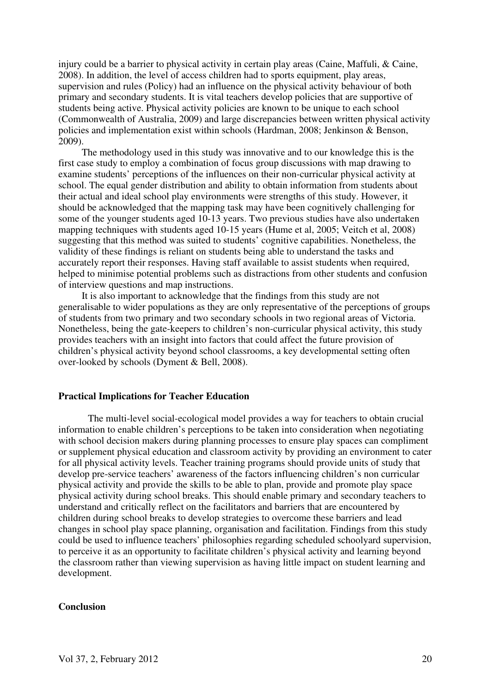injury could be a barrier to physical activity in certain play areas (Caine, Maffuli, & Caine, 2008). In addition, the level of access children had to sports equipment, play areas, supervision and rules (Policy) had an influence on the physical activity behaviour of both primary and secondary students. It is vital teachers develop policies that are supportive of students being active. Physical activity policies are known to be unique to each school (Commonwealth of Australia, 2009) and large discrepancies between written physical activity policies and implementation exist within schools (Hardman, 2008; Jenkinson & Benson, 2009).

The methodology used in this study was innovative and to our knowledge this is the first case study to employ a combination of focus group discussions with map drawing to examine students' perceptions of the influences on their non-curricular physical activity at school. The equal gender distribution and ability to obtain information from students about their actual and ideal school play environments were strengths of this study. However, it should be acknowledged that the mapping task may have been cognitively challenging for some of the younger students aged 10-13 years. Two previous studies have also undertaken mapping techniques with students aged 10-15 years (Hume et al, 2005; Veitch et al, 2008) suggesting that this method was suited to students' cognitive capabilities. Nonetheless, the validity of these findings is reliant on students being able to understand the tasks and accurately report their responses. Having staff available to assist students when required, helped to minimise potential problems such as distractions from other students and confusion of interview questions and map instructions.

It is also important to acknowledge that the findings from this study are not generalisable to wider populations as they are only representative of the perceptions of groups of students from two primary and two secondary schools in two regional areas of Victoria. Nonetheless, being the gate-keepers to children's non-curricular physical activity, this study provides teachers with an insight into factors that could affect the future provision of children's physical activity beyond school classrooms, a key developmental setting often over-looked by schools (Dyment & Bell, 2008).

#### **Practical Implications for Teacher Education**

The multi-level social-ecological model provides a way for teachers to obtain crucial information to enable children's perceptions to be taken into consideration when negotiating with school decision makers during planning processes to ensure play spaces can compliment or supplement physical education and classroom activity by providing an environment to cater for all physical activity levels. Teacher training programs should provide units of study that develop pre-service teachers' awareness of the factors influencing children's non curricular physical activity and provide the skills to be able to plan, provide and promote play space physical activity during school breaks. This should enable primary and secondary teachers to understand and critically reflect on the facilitators and barriers that are encountered by children during school breaks to develop strategies to overcome these barriers and lead changes in school play space planning, organisation and facilitation. Findings from this study could be used to influence teachers' philosophies regarding scheduled schoolyard supervision, to perceive it as an opportunity to facilitate children's physical activity and learning beyond the classroom rather than viewing supervision as having little impact on student learning and development.

#### **Conclusion**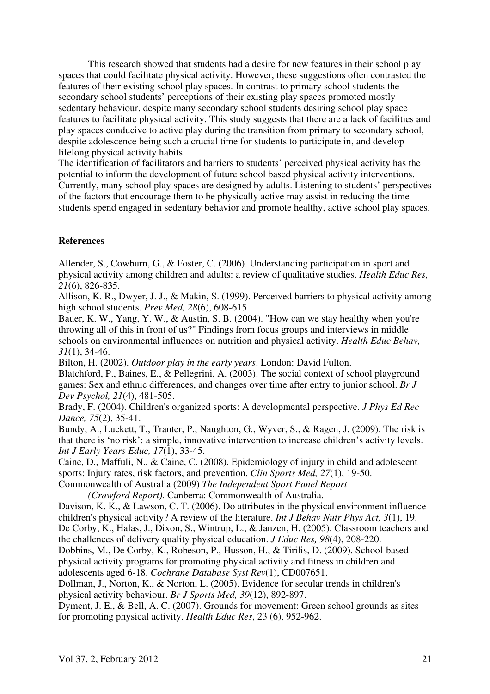This research showed that students had a desire for new features in their school play spaces that could facilitate physical activity. However, these suggestions often contrasted the features of their existing school play spaces. In contrast to primary school students the secondary school students' perceptions of their existing play spaces promoted mostly sedentary behaviour, despite many secondary school students desiring school play space features to facilitate physical activity. This study suggests that there are a lack of facilities and play spaces conducive to active play during the transition from primary to secondary school, despite adolescence being such a crucial time for students to participate in, and develop lifelong physical activity habits.

The identification of facilitators and barriers to students' perceived physical activity has the potential to inform the development of future school based physical activity interventions. Currently, many school play spaces are designed by adults. Listening to students' perspectives of the factors that encourage them to be physically active may assist in reducing the time students spend engaged in sedentary behavior and promote healthy, active school play spaces.

## **References**

Allender, S., Cowburn, G., & Foster, C. (2006). Understanding participation in sport and physical activity among children and adults: a review of qualitative studies. *Health Educ Res, 21*(6), 826-835.

Allison, K. R., Dwyer, J. J., & Makin, S. (1999). Perceived barriers to physical activity among high school students. *Prev Med, 28*(6), 608-615.

Bauer, K. W., Yang, Y. W., & Austin, S. B. (2004). "How can we stay healthy when you're throwing all of this in front of us?" Findings from focus groups and interviews in middle schools on environmental influences on nutrition and physical activity. *Health Educ Behav, 31*(1), 34-46.

Bilton, H. (2002). *Outdoor play in the early years*. London: David Fulton.

Blatchford, P., Baines, E., & Pellegrini, A. (2003). The social context of school playground games: Sex and ethnic differences, and changes over time after entry to junior school. *Br J Dev Psychol, 21*(4), 481-505.

Brady, F. (2004). Children's organized sports: A developmental perspective. *J Phys Ed Rec Dance, 75*(2), 35-41.

Bundy, A., Luckett, T., Tranter, P., Naughton, G., Wyver, S., & Ragen, J. (2009). The risk is that there is 'no risk': a simple, innovative intervention to increase children's activity levels. *Int J Early Years Educ, 17*(1), 33-45.

Caine, D., Maffuli, N., & Caine, C. (2008). Epidemiology of injury in child and adolescent sports: Injury rates, risk factors, and prevention. *Clin Sports Med, 27*(1), 19-50.

Commonwealth of Australia (2009) *The Independent Sport Panel Report* 

 *(Crawford Report).* Canberra: Commonwealth of Australia. Davison, K. K., & Lawson, C. T. (2006). Do attributes in the physical environment influence children's physical activity? A review of the literature. *Int J Behav Nutr Phys Act, 3*(1), 19.

De Corby, K., Halas, J., Dixon, S., Wintrup, L., & Janzen, H. (2005). Classroom teachers and the challences of delivery quality physical education. *J Educ Res, 98*(4), 208-220.

Dobbins, M., De Corby, K., Robeson, P., Husson, H., & Tirilis, D. (2009). School-based physical activity programs for promoting physical activity and fitness in children and adolescents aged 6-18. *Cochrane Database Syst Rev*(1), CD007651.

Dollman, J., Norton, K., & Norton, L. (2005). Evidence for secular trends in children's physical activity behaviour. *Br J Sports Med, 39*(12), 892-897.

Dyment, J. E., & Bell, A. C. (2007). Grounds for movement: Green school grounds as sites for promoting physical activity. *Health Educ Res*, 23 (6), 952-962.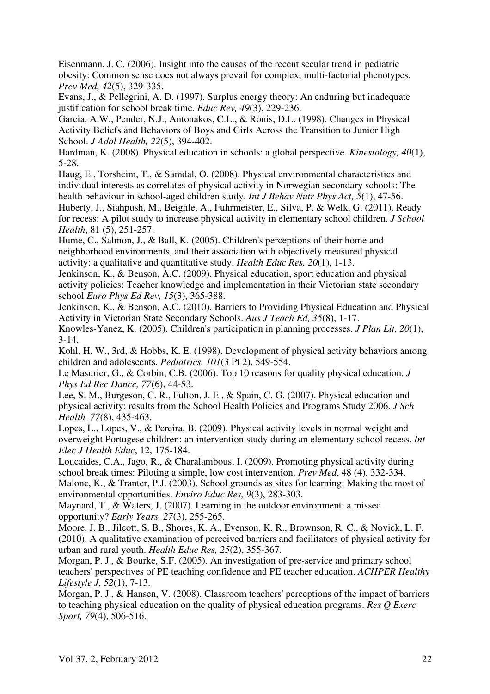Eisenmann, J. C. (2006). Insight into the causes of the recent secular trend in pediatric obesity: Common sense does not always prevail for complex, multi-factorial phenotypes. *Prev Med, 42*(5), 329-335.

Evans, J., & Pellegrini, A. D. (1997). Surplus energy theory: An enduring but inadequate justification for school break time. *Educ Rev, 49*(3), 229-236.

Garcia, A.W., Pender, N.J., Antonakos, C.L., & Ronis, D.L. (1998). Changes in Physical Activity Beliefs and Behaviors of Boys and Girls Across the Transition to Junior High School. *J Adol Health, 22*(5), 394-402.

Hardman, K. (2008). Physical education in schools: a global perspective. *Kinesiology, 40*(1), 5-28.

Haug, E., Torsheim, T., & Samdal, O. (2008). Physical environmental characteristics and individual interests as correlates of physical activity in Norwegian secondary schools: The health behaviour in school-aged children study. *Int J Behav Nutr Phys Act, 5*(1), 47-56.

Huberty, J., Siahpush, M., Beighle, A., Fuhrmeister, E., Silva, P. & Welk, G. (2011). Ready for recess: A pilot study to increase physical activity in elementary school children. *J School Health*, 81 (5), 251-257.

Hume, C., Salmon, J., & Ball, K. (2005). Children's perceptions of their home and neighborhood environments, and their association with objectively measured physical activity: a qualitative and quantitative study. *Health Educ Res, 20*(1), 1-13.

Jenkinson, K., & Benson, A.C. (2009). Physical education, sport education and physical activity policies: Teacher knowledge and implementation in their Victorian state secondary school *Euro Phys Ed Rev, 15*(3), 365-388.

Jenkinson, K., & Benson, A.C. (2010). Barriers to Providing Physical Education and Physical Activity in Victorian State Secondary Schools. *Aus J Teach Ed, 35*(8), 1-17. Knowles-Yanez, K. (2005). Children's participation in planning processes. *J Plan Lit, 20*(1),

3-14.

Kohl, H. W., 3rd, & Hobbs, K. E. (1998). Development of physical activity behaviors among children and adolescents. *Pediatrics, 101*(3 Pt 2), 549-554.

Le Masurier, G., & Corbin, C.B. (2006). Top 10 reasons for quality physical education. *J Phys Ed Rec Dance, 77*(6), 44-53.

Lee, S. M., Burgeson, C. R., Fulton, J. E., & Spain, C. G. (2007). Physical education and physical activity: results from the School Health Policies and Programs Study 2006. *J Sch Health, 77*(8), 435-463.

Lopes, L., Lopes, V., & Pereira, B. (2009). Physical activity levels in normal weight and overweight Portugese children: an intervention study during an elementary school recess. *Int Elec J Health Educ*, 12, 175-184.

Loucaides, C.A., Jago, R., & Charalambous, I. (2009). Promoting physical activity during school break times: Piloting a simple, low cost intervention. *Prev Med*, 48 (4), 332-334. Malone, K., & Tranter, P.J. (2003). School grounds as sites for learning: Making the most of

environmental opportunities. *Enviro Educ Res, 9*(3), 283-303.

Maynard, T., & Waters, J. (2007). Learning in the outdoor environment: a missed opportunity? *Early Years, 27*(3), 255-265.

Moore, J. B., Jilcott, S. B., Shores, K. A., Evenson, K. R., Brownson, R. C., & Novick, L. F. (2010). A qualitative examination of perceived barriers and facilitators of physical activity for urban and rural youth. *Health Educ Res, 25*(2), 355-367.

Morgan, P. J., & Bourke, S.F. (2005). An investigation of pre-service and primary school teachers' perspectives of PE teaching confidence and PE teacher education. *ACHPER Healthy Lifestyle J, 52*(1), 7-13.

Morgan, P. J., & Hansen, V. (2008). Classroom teachers' perceptions of the impact of barriers to teaching physical education on the quality of physical education programs. *Res Q Exerc Sport, 79*(4), 506-516.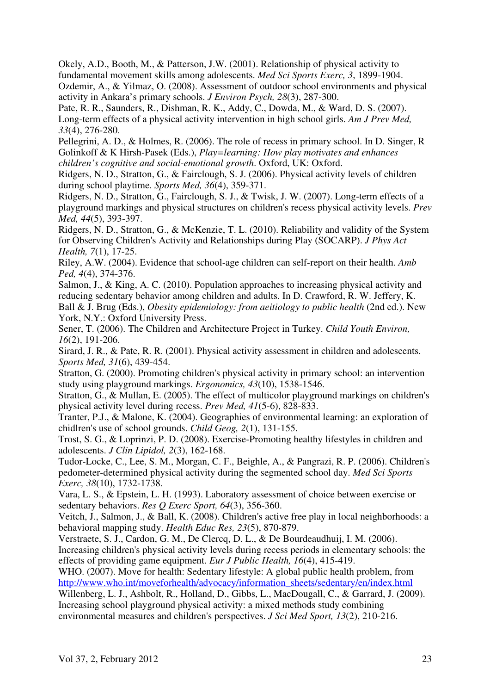Okely, A.D., Booth, M., & Patterson, J.W. (2001). Relationship of physical activity to fundamental movement skills among adolescents. *Med Sci Sports Exerc, 3*, 1899-1904. Ozdemir, A., & Yilmaz, O. (2008). Assessment of outdoor school environments and physical activity in Ankara's primary schools. *J Environ Psych, 28*(3), 287-300.

Pate, R. R., Saunders, R., Dishman, R. K., Addy, C., Dowda, M., & Ward, D. S. (2007). Long-term effects of a physical activity intervention in high school girls. *Am J Prev Med, 33*(4), 276-280.

Pellegrini, A. D., & Holmes, R. (2006). The role of recess in primary school. In D. Singer, R Golinkoff & K Hirsh-Pasek (Eds.), *Play=learning: How play motivates and enhances children's cognitive and social-emotional growth*. Oxford, UK: Oxford.

Ridgers, N. D., Stratton, G., & Fairclough, S. J. (2006). Physical activity levels of children during school playtime. *Sports Med, 36*(4), 359-371.

Ridgers, N. D., Stratton, G., Fairclough, S. J., & Twisk, J. W. (2007). Long-term effects of a playground markings and physical structures on children's recess physical activity levels. *Prev Med, 44*(5), 393-397.

Ridgers, N. D., Stratton, G., & McKenzie, T. L. (2010). Reliability and validity of the System for Observing Children's Activity and Relationships during Play (SOCARP). *J Phys Act Health, 7*(1), 17-25.

Riley, A.W. (2004). Evidence that school-age children can self-report on their health. *Amb Ped, 4*(4), 374-376.

Salmon, J., & King, A. C. (2010). Population approaches to increasing physical activity and reducing sedentary behavior among children and adults. In D. Crawford, R. W. Jeffery, K. Ball & J. Brug (Eds.), *Obesity epidemiology: from aeitiology to public health* (2nd ed.). New York, N.Y.: Oxford University Press.

Sener, T. (2006). The Children and Architecture Project in Turkey. *Child Youth Environ, 16*(2), 191-206.

Sirard, J. R., & Pate, R. R. (2001). Physical activity assessment in children and adolescents. *Sports Med, 31*(6), 439-454.

Stratton, G. (2000). Promoting children's physical activity in primary school: an intervention study using playground markings. *Ergonomics, 43*(10), 1538-1546.

Stratton, G., & Mullan, E. (2005). The effect of multicolor playground markings on children's physical activity level during recess. *Prev Med, 41*(5-6), 828-833.

Tranter, P.J., & Malone, K. (2004). Geographies of environmental learning: an exploration of chidlren's use of school grounds. *Child Geog, 2*(1), 131-155.

Trost, S. G., & Loprinzi, P. D. (2008). Exercise-Promoting healthy lifestyles in children and adolescents. *J Clin Lipidol, 2*(3), 162-168.

Tudor-Locke, C., Lee, S. M., Morgan, C. F., Beighle, A., & Pangrazi, R. P. (2006). Children's pedometer-determined physical activity during the segmented school day. *Med Sci Sports Exerc, 38*(10), 1732-1738.

Vara, L. S., & Epstein, L. H. (1993). Laboratory assessment of choice between exercise or sedentary behaviors. *Res Q Exerc Sport, 64*(3), 356-360.

Veitch, J., Salmon, J., & Ball, K. (2008). Children's active free play in local neighborhoods: a behavioral mapping study. *Health Educ Res, 23*(5), 870-879.

Verstraete, S. J., Cardon, G. M., De Clercq, D. L., & De Bourdeaudhuij, I. M. (2006). Increasing children's physical activity levels during recess periods in elementary schools: the effects of providing game equipment. *Eur J Public Health, 16*(4), 415-419.

WHO. (2007). Move for health: Sedentary lifestyle: A global public health problem, from http://www.who.int/moveforhealth/advocacy/information\_sheets/sedentary/en/index.html

Willenberg, L. J., Ashbolt, R., Holland, D., Gibbs, L., MacDougall, C., & Garrard, J. (2009). Increasing school playground physical activity: a mixed methods study combining environmental measures and children's perspectives. *J Sci Med Sport, 13*(2), 210-216.